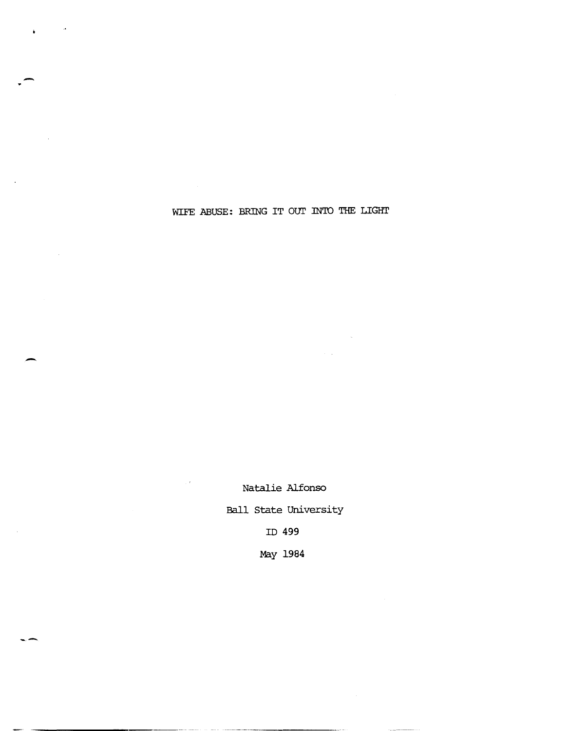WIFE ABUSE: BRING IT OUT INTO THE LIGHT

-

--

Natalie Alfonso Ball State University ID 499

 $\mathbb{R}^3$ 

May 1984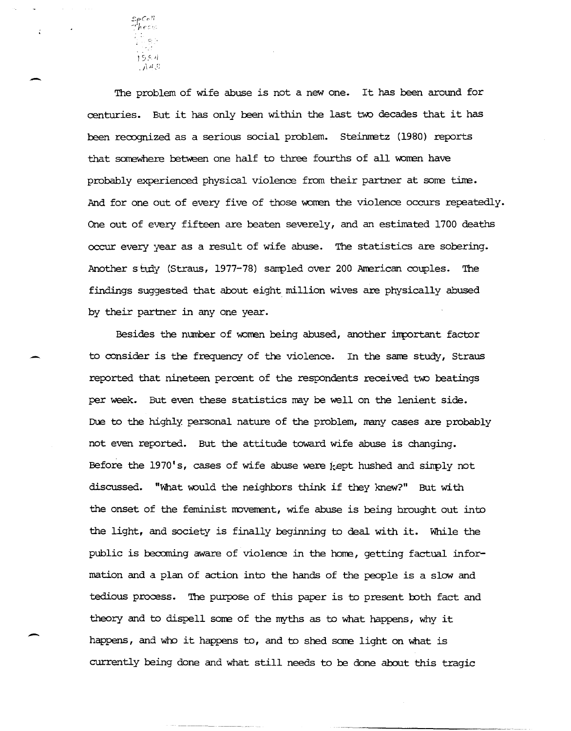

-

 $\ddot{ }$ 

-

The problem of wife abuse is not a new one. It has been around for centuries. But it has only been within the last two decades that it has been recognized as a serious social problem. Steinmetz (1980) reports that somewhere between one half to three fourths of all women have probably experienced physical violence from their partner at some time. And for one out of every five of those women the violence occurs repeatedly. One out of every fifteen are beaten severely, and an estimated 1700 deaths occur every year as a result of wife abuse. The statistics are sobering. Another study (Straus, 1977-78) sampled over 200 American couples. The findings suggested that about eight million wives are physically abused by their partner in anyone year.

Besides the number of women being abused, another important factor to consider is the frequency of the violence. In the sane study, Straus reported that nineteen percent of the respondents received two beatings per week. But even these statistics nay be well on the lenient side. Due to the highly personal nature of the problem, many cases are probably not even reported. But the attitude toward wife abuse is changing. Before the 1970's, cases of wife abuse were kept hushed and simply not discussed. "What would the neighbors think if they knew?" But with the onset of the feminist movement, wife abuse is being brought out into the light, and society is finally beginning to deal with it. While the public is becoming aware of violence in the horre, getting factual information and a plan of action into the hands of the people is a slow and tedious process. The purpose of this paper is to present both fact and theory and to dispell some of the myths as to what happens, why it happens, and who it happens to, and to shed some light on what is currently being done and what still needs to be done about this tragic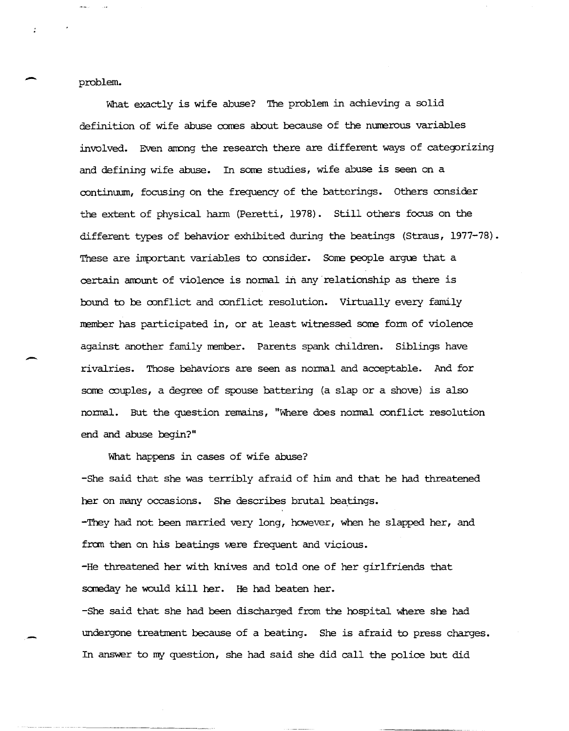problem.

What exactly is wife abuse? The problem in achieving a solid definition of wife abuse cones about because of the nurrerous variables involved. Even anong the research there are different ways of categorizing and defining wife abuse. In some studies, wife abuse is seen on a continuum, focusing on the frequency of the batterings. Others consider the extent of physical hann (Peretti, 1978). Still others focus on the different types of behavior exhibited during the beatings (Straus, 1977-78). These are important variables to consider. Some people argue that a certain amount of violence is normal in any relationship as there is bound to be conflict and conflict resolution. Virtually every family nember has participated in, or at least witnessed some form of violence against another family member. Parents spank children. Siblings have rivalries. Those behaviors are seen as nonnal and acceptable. And for some couples, a degree of spouse battering (a slap or a shove) is also nornal. But the question remains, "Where does nornal conflict resolution end and abuse begin?"

What happens in cases of wife abuse? -She said that she was terribly afraid of him and that he had threatened her on many occasions. She describes brutal beatings. -They had not been narried very long, however, when he slapped her, and from then on his beatings were frequent and vicious. -He threatened her with knives and told one of her girlfriends that someday he would kill her. He had beaten her. -She said that she had been discharged from the hospital where she had undergone treatment because of a beating. She is afraid to press charges. In answer to my question, she had said she did call the police but did

-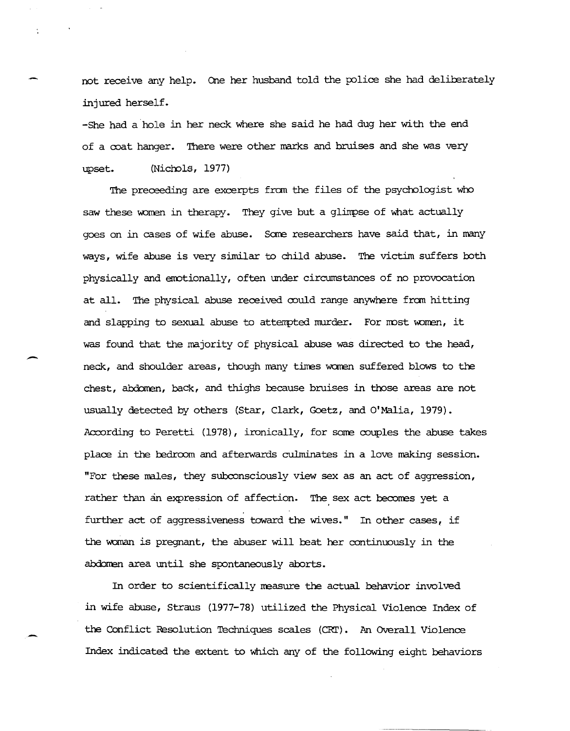not receive any help. One her husband told the police she had deliberately injured herself.

-She had a· hole in her neck where she said he had dug her with the end of a ooat hanqer. There were other marks and bruises and she was very upset. (Nichols, 1977)

The preceeding are excerpts from the files of the psychologist who saw these women in therapy. They give but a glimpse of what actually goes on in cases of wife abuse. Some researchers have said that, in many ways, wife abuse is very similar to child abuse. The victim suffers both physically and emotionally, often under circumstances of no provocation at all. The physical abuse received could range anywhere from hitting and slapping to sexual abuse to attempted murder. For most women, it was found that the majority of physical abuse was directed to the head, neck, and shoulder areas, though many times women suffered blows to the chest, abdomen, back, and thighs because bruises in those areas are not usually detected by others (Star, Clark, Goetz, and O'Malia, 1979). According to Peretti (1978), ironically, for some couples the abuse takes place in the bedroom and afterwards culminates in a love making session. "For these nales, they subconsciously view sex as an act of aggression, rather than an expression of affection. The sex act becomes yet a further act of aggressiveness toward the wives." In other cases, if the woman is pregnant, the abuser will beat her continuously in the abdomen area until she spontaneously aborts.

-

In order to scientifically measure the actual behavior involved in wife abuse, Straus (1977-78) utilized the Physical Violence Index of the Conflict Resolution Techniques scales (CRI'). An OVerall Violence Index indicated the extent to which any of the following eight behaviors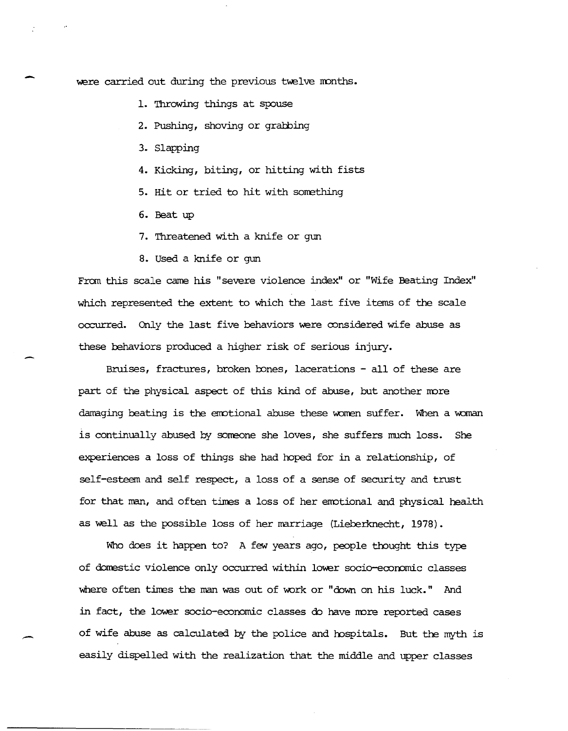were carried out during the previous twelve months.

1. Throwing things at spouse

2. Pushing, shoving or grabbing

3. Slapping

-

.-

4. Kicking, biting, or hitting with fists

5. Hit or tried to hit with something

6. Beat up

7. Threatened with a knife or gun

8. Used a knife or gun

Fran this scale came his "severe violence index" or "Wife Beating Index" which represented the extent to which the last five items of the scale occurred. Only the last five behaviors were considered wife abuse as these behaviors produced a higher risk of serious injury.

Bruises, fractures, broken bones, lacerations - all of these are part of the physical aspect of this kind of abuse, but another more damaging beating is the emotional abuse these women suffer. When a woman is continually abused by sorreone she loves, she suffers much loss. She experiences a loss of things she had hoped for in a relationship, of self-esteem and self respect, a loss of a sense of security and trust for that man, and often times a loss of her emotional and physical health as well as the possible loss of her marriage (Lieberknecht, 1978).

Who does it happen to? A few years ago, people thought this type of domestic violence only occurred within lower socio-economic classes where often tines the man was out of work or "down on his luck." And in fact, the lower socio-economic classes do have more reported cases of wife abuse as calculated by the police and hospitals. But the myth is easily dispelled with the realization that the middle and upper classes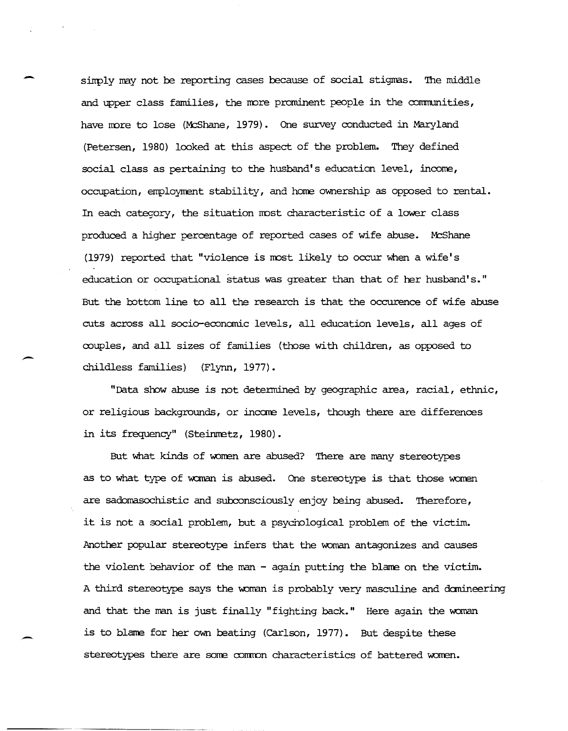simply may not be reporting cases because of social stigmas. The middle and upper class families, the more prominent people in the communities, have more to lose (McShane, 1979). One survey conducted in Maryland (Petersen, 1980) looked at this aspect of the problem. They defined social class as pertaining to the husband's education level, income, occupation, employment stability, and home ownership as opposed to rental. In each category, the situation most characteristic of a lower class produced a higher percentage of reported cases of wife abuse. McShane (1979) reported that "violence is most likely to occur when a wife's education or occupational status was greater than that of her husband's." But the bottom line to all the research is that the occurence of wife abuse cuts across all socio-economic levels, all education levels, all ages of couples, and all sizes of families (those with children, as opposed to childless families) (Flynn, 1977).

-

 $\overline{\phantom{0}}$ 

-

"Data slow abuse is not determined by geographic area, racial, ethnic, or religious backgrounds, or income levels, though there are differences in its frequency" (Steinmetz, 1980).

But what kinds of women are abused? There are many stereotypes as to what type of woman is abused. One stereotype is that those women are sadomasochistic and subconsciously enjoy being abused. Therefore, it is not a social problem, but a psychological problem of the victim. Another popular stereotype infers that the woman antagonizes and causes the violent behavior of the man - again putting the blame on the victim. A third stereotype says the woman is probably very masculine and domineering and that the man is just finally "fighting back." Here again the woman is to blame for her own beating (Carlson, 1977). But despite these stereotypes there are some common characteristics of battered women.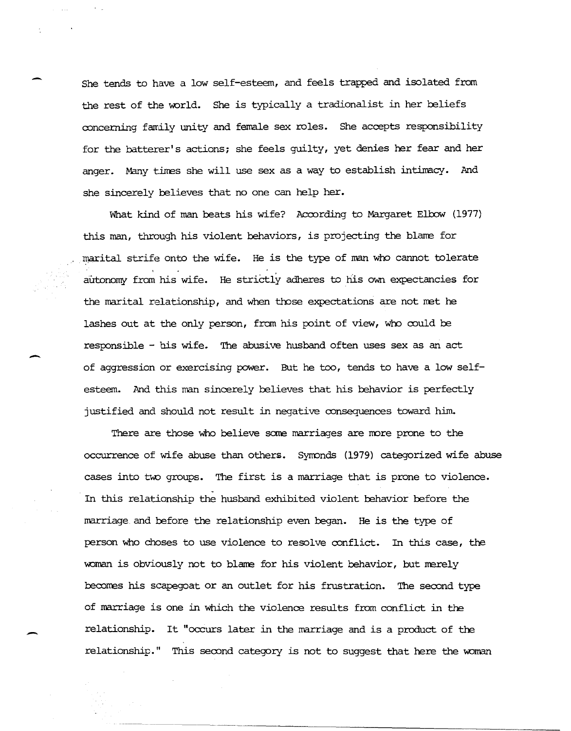She tends to have a low self-esteem, and feels trapped and isolated from the rest of the world. She is typically a tradionalist in her beliefs concerning family unity and female sex roles. She accepts responsibility for the batterer's actions; she feels guilty, yet denies her fear and her anger. Many times she will use sex as a way to establish intimacy. And she sincerely believes that no one can help her.

What kind of man beats his wife? According to Margaret Elbow (1977) this man, through his violent behaviors, is projecting the blame for marital strife onto the wife. He is the type of man who cannot tolerate autonomy from his wife. He strictly adheres to his own expectancies for the marital relationship, and when those expectations are not net he lashes out at the only person, from his point of view, who could be responsible - his wife. The abusive husband often uses sex as an act of aggression or exercising power. But he too, tends to have a low selfesteem. And this man sincerely believes that his behavior is perfectly justified and should not result in negative consequences toward him.

-

-

There are those who believe some marriages are more prone to the occurrence of wife abuse than others. Syrronds (1979) categorized wife abuse cases into two groups. The first is a marriage that is prone to violence. In this relationship the husband exhibited violent behavior before the marriage and before the relationship even began. He is the type of person who choses to use violence to resolve conflict. In this case, the woman is obviously not to blame for his violent behavior, but merely becomes his scapegoat or an outlet for his frustration. The second type of marriage is one in which the violence results frorn conflict in the relationship. It "occurs later in the marriage and is a product of the relationship." This second category is not to suggest that here the woman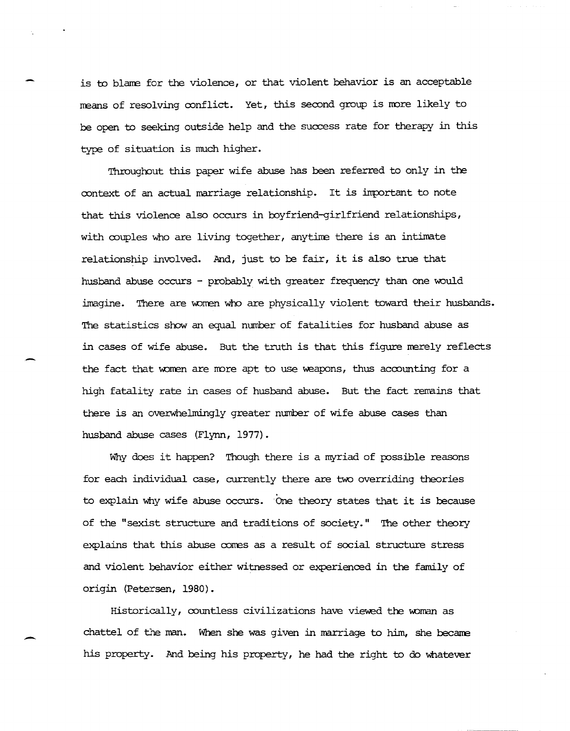is to blame for the violence, or that violent behavior is an acceptable means of resolving conflict. Yet, this second group is more likely to be open to seeking outside help and the success rate for therapy in this type of situation is much higher.

Throughout this paper wife abuse has been referred to only in the context of an actual marriage relationship. It is important to note that this violence also occurs in toyfriend-girlfriend relationships, with couples who are living together, any time there is an intimate relationship involved. And, just to be fair, it is also true that husband abuse occurs - probably with greater frequency than one would imagine. There are women who are physically violent toward their husbands. The statistics show an equal number of fatalities for husband abuse as in cases of wife abuse. But the truth is that this figure merely reflects the fact that women are more apt to use weapons, thus accounting for a high fatality rate in cases of husband abuse. But the fact remains that there is an overwhelmingly greater number of wife abuse cases than husband abuse cases (Flynn, 1977).

Why does it happen? Though there is a myriad of possible reasons for each individual case, currently there are two overriding theories to explain why wife abuse occurs. One theory states that it is because of the "sexist structure and traditions of society." The other theory explains that this abuse comes as a result of social structure stress and violent behavior either witnessed or experienced in the family of origin (Petersen, 1980).

 $Historically,$  countless civilizations have viewed the woman as chattel of the man. When she was given in marriage to him, she became his property. And being his property, he had the right to do whatever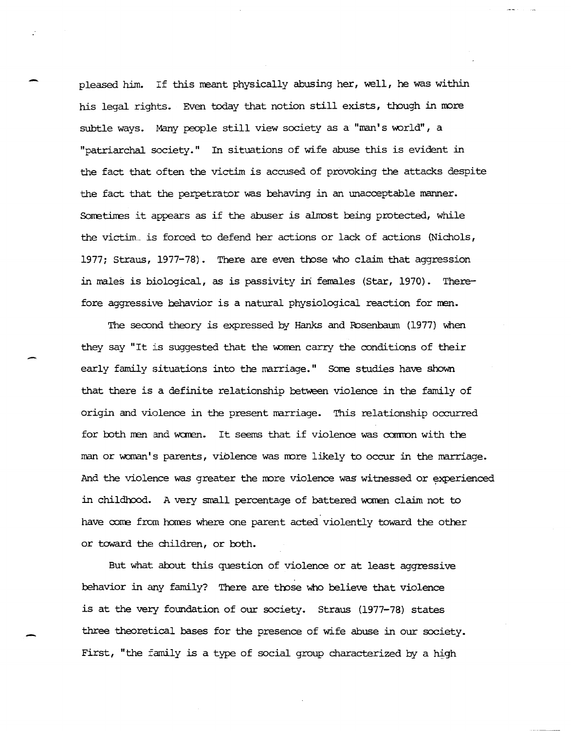pleased him. If this neant physically abusing her, well, he was within his legal rights. Even today that notion still exists, though in more subtle ways. Many people still view society as a "man's world", a "patriarchal society." In situations of wife abuse this is evident in the fact that often the victim is accused of provoking the attacks despite the fact that the perpetrator was behaving in an unacceptable manner. Sometimes it appears as if the abuser is almost being protected, while the victim is forced to defend her actions or lack of actions (Nichols, 1977; Straus, 1977-78). There are even those who claim that aggression in males is biological, as is passivity in females (Star, 1970). Therefore aggressive behavior is a natural physiological reaction for men.

The second theory is expressed by Hanks and Fosenbaum (1977) when they say "It is suggested that the women carry the conditions of their early family situations into the marriage." Some studies have shown that there is a definite relationship between violence in the family of origin and violence in the present marriage. This relationship occurred for both men and women. It seems that if violence was common with the man or woman's parents, violence was more likely to occur in the marriage. And the violence was greater the more violence was witnessed or experienced in childhood. A very small percentage of battered women claim not to have come from homes where one parent acted violently toward the other or toward the children, or toth.

But what about this question of violence or at least aggressive behavior in any family? There are those who believe that violence is at the very foundation of our society. Straus (1977-78) states three theoretical bases for the presence of wife abuse in our society. First, "the family is a type of social group characterized by a high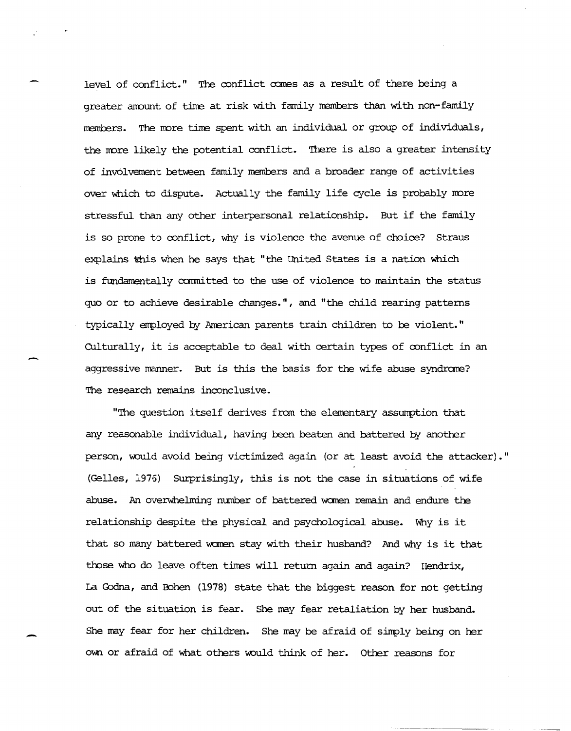level of conflict." The conflict comes as a result of there being a greater amount of time at risk with family members than with non-family members. The more time spent with an individual or group of individuals, the more likely the potential conflict. There is also a greater intensity of involvement between family members and a broader range of activities over which to dispute. Actually the family life cycle is probably more stressful than any other interpersonal relationship. But if the family is so prone to conflict, why is violence the avenue of choice? Straus explains this when he says that "the United States is a nation which is fundamentally committed to the use of violence to maintain the status quo or to achieve desirable changes.", and "the child rearing patterns typically employed by American parents train children to be violent." Culturally, it is acceptable to deal with certain types of oonflict in an aggressive manner. But is this the basis for the wife abuse syndrome? The research remains inconclusive.

-

-

"The question itself derives from the elementary assumption that any reasonable individual, having been beaten and battered by another person, would avoid being victimized again (or at least avoid the attacker)." (Gelles, 1976) Surprisingly, this is not the case in situations of wife abuse. An overwhelming number of battered women remain and endure the relationship despite the physical and psychological abuse. Why is it that so many battered women stay with their husband? And why is it that those who do leave often times will return again and again? Hendrix, La Godna, and Bohen (1978) state that the biggest reason for not getting out of the situation is fear. She may fear retaliation by her husband. She may fear for her children. She may be afraid of sinply being on her own or afraid of what others would think of her. Other reasons for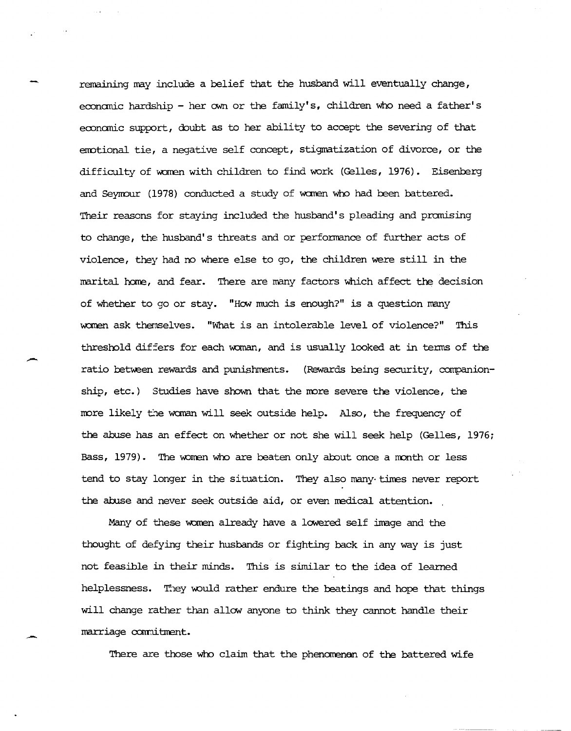remaining may :include a belief that the husband will eventually change, economic hardship - her own or the family's, children who need a father's economic support, doubt as to her ability to accept the severing of that emotional tie, a negative self concept, stigmatization of divorce, or the difficulty of women with children to find work (Gelles, 1976). Eisenberg and Seyrrour (1978) conducted a study of wanen who had been battered. Their reasons for staying included the husband's pleading and promising to change, the husband's threats and or performance of further acts of violence, they had no where else to go, the children were still in the marital home, and fear. There are many factors which affect the decision of whether to go or stay. *"HON* much is enough?" is a question many women ask themselves. "What is an intolerable level of violence?" This threshold differs for each woman, and is usually looked at in terms of the ratio between rewards and punishments. (Rewards being security, companionship, etc.) Studies have shown that the more severe the violence, the more likely the woman will seek outside help. Also, the frequency of the abuse has an effect on whether or not she will seek help (Gelles, 1976; Bass, 1979). The women who are beaten only about once a month or less tend to stay longer in the situation. They also many-times never report the abuse and never seek outside aid, or even medical attention.

Many of these women already have a lowered self image and the thought of defying their husbands or fighting back in any way is just not feasible in their minds. This is similar to the idea of learned helplessness. They would rather endure the beatings and hope that things will change rather than allow anyone to think they cannot handle their marriage commitment.

There are those who claim that the phenomenan of the battered wife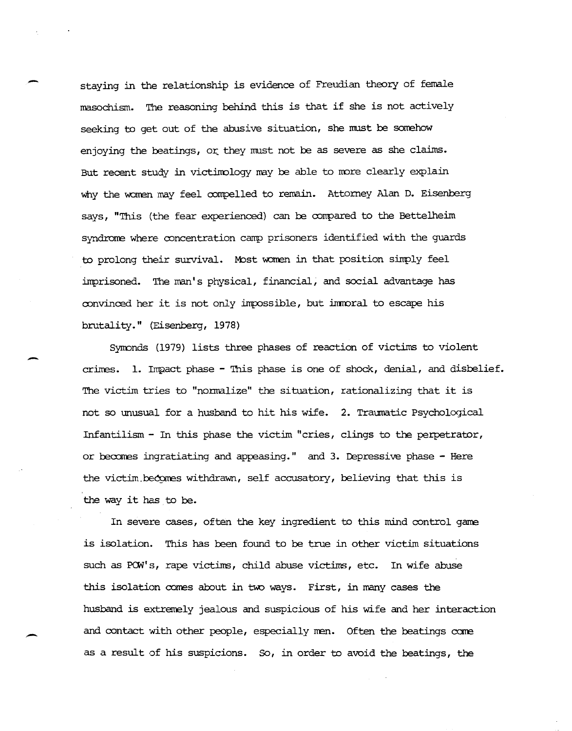staying in the relationship is evidence of Freudian theory of fenale masochism. The reasoning behind this is that if she is not actively seeking to get out of the abusive situation, she must be somehow enjoying the beatings, or they must not be as severe as she claims. But recent study in victimology may be able to more clearly explain why the women may feel compelled to remain. Attorney Alan D. Eisenberg says, "This (the fear experienced) can be compared to the Bettelheim syndrome where concentration camp prisoners identified with the guards to prolong their survival. Most women in that position simply feel imprisoned. The man's physical, financial, and social advantage has convinced her it is not only impossible, but immoral to escape his brutality." (Eisenberg, 1978)

-

--

-

Syrronds (1979) lists three phases of reaction of victims to violent crimes. 1. Impact phase - This phase is one of shock, denial, and disbelief. The victim tries to "nonnalize" the situation, rationalizing that it is not so unusual for a husband to hit his wife. 2. Traumatic Psychological Infantilism - In this phase the victim "cries, clings to the perpetrator, or becomes ingratiating and appeasing." and 3. Depressive phase  $-$  Here the victim becomes withdrawn, self accusatory, believing that this is the way it has to be.

In severe cases, often the key ingredient to this mind control game is isolation. This has been found to be true in other victim situations such as POW's, rape victims, child abuse victims, etc. In wife abuse this isolation comes about in two ways. First, in many cases the husband is extremely jealous and suspicious of his wife and her interaction and contact with other people, especially men. Often the beatings come as a result of his suspicions. So, in order to avoid the beatings, the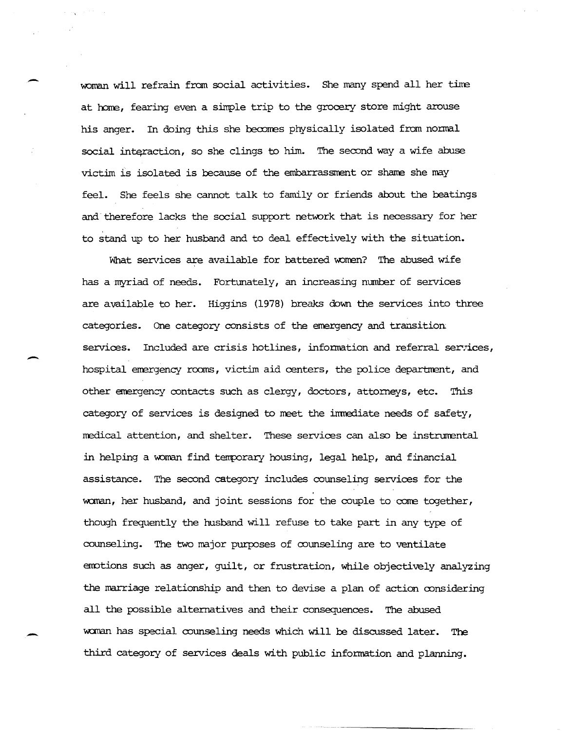woman will refrain from social activities. She many spend all her time at home, fearing even a simple trip to the grocery store might arouse his anger. In doing this she becomes physically isolated from normal social interaction, so she clings to him. The second way a wife abuse victim is isolated is because of the embarrassment or shame she may feel. She feels she cannot talk to family or friends about the beatings and therefore lacks the social support network that is necessary for her to stand up to her husband and to deal effectively with the situation.

What services are available for battered women? The abused wife has a myriad of needs. Fortunately, an increasing number of services are available to her. Higgins (1978) breaks down the services into three categories. One category consists of the emergency and transition services. Included are crisis hotlines, information and referral services, hospital emergency rooms, victim aid centers, the police department, and other emergency contacts such as clergy, doctors, attorneys, etc. This category of services is designed to meet the immediate needs of safety, medical attention, and shelter. These services can also be instrumental in helping a woman find temporary housing, legal help, and financial assistance. The second category includes counseling services for the woman, her husband, and joint sessions for the couple to come together, though frequently the husband will refuse to take part in any type of counseling. The two major purposes of counseling are to ventilate emotions such as anger, guilt, or frustration, while objectively analyzing the marriage relationship and then to devise a plan of action considering all the possible alternatives and their consequences. The abused woman has special counseling needs which will be discussed later. The third category of services deals with public infonnation and planning.

-

-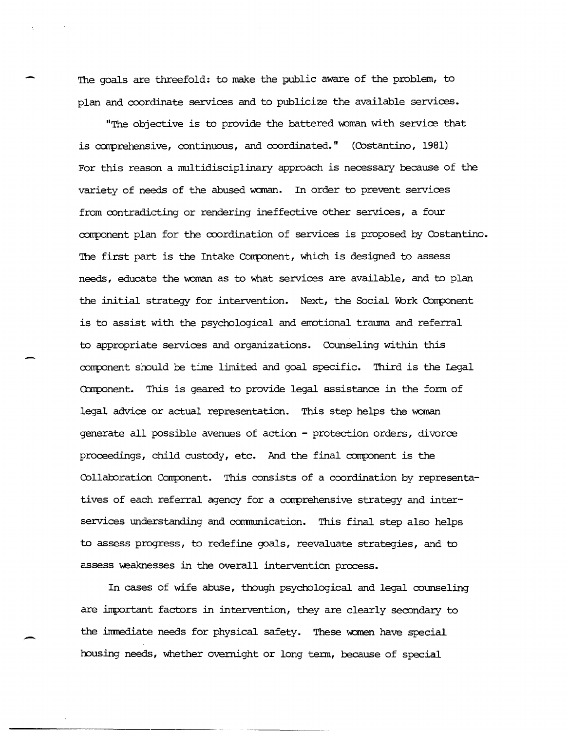The goals are threefold: to make the public aware of the problem, to plan and coordinate services and to publicize the available services.

"The objective is to provide the battered woman with service that is comprehensive, continuous, and coordinated."  $(Costantino, 1981)$ For this reason a multidisciplinary approach is necessary because of the variety of needs of the abused woman. In order to prevent services from contradicting or rendering ineffective other services, a four component plan for the coordination of services is proposed by Costantino. The first part is the Intake Component, which is designed to assess needs, educate the woman as to what services are available, and to plan the initial strategy for intervention. Next, the Social Work Component is to assist 'with the psychological and emotional trauma and referral to appropriate services and organizations. Counseling within this component should be time limited and goal specific. Third is the Legal Component. This is geared to provide legal assistance in the form of legal advice or actual representation. This step helps the woman generate all possible avenues of action - protection orders , divorce  $proceedings$ , child custody, etc. And the final component is the Collaboration Component. This consists of a coordination by representatives of each referral agency for a comprehensive strategy and interservices understanding and conmunication. This final step also helps to assess progress, to redefine goals, reevaluate strategies, and to assess weaknesses in the overall intervention process.

In cases of wife abuse, though psychological and legal counseling are important: factors in intervention, they are clearly secondary to the immediate needs for physical safety. These women have special housing needs, whether overnight or long tenn, because of special

-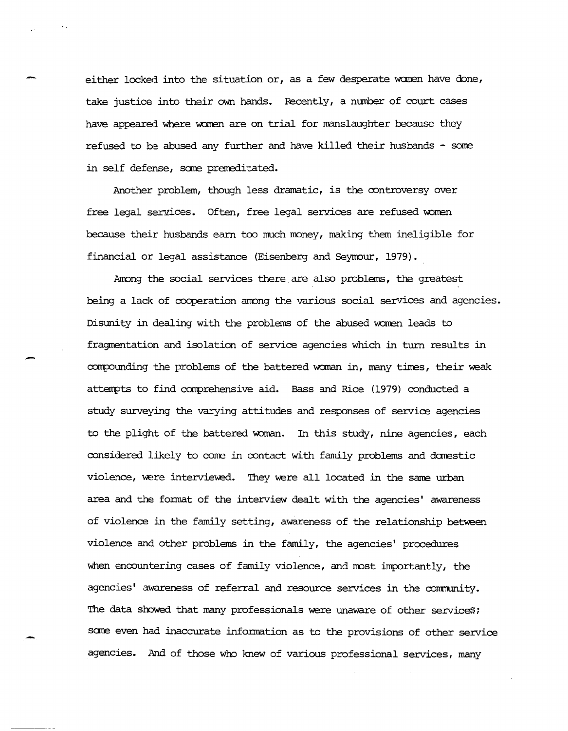either locked into the situation or, as a few desperate women have done, take justice into their own hands. Recently, a number of court cases have appeared where women are on trial for manslaughter because they refused to be abused any further and have killed their husbands - some in self defense, some premeditated.

Another problem, though less dramatic, is the controversy over free legal services. Often, free legal services are refused women because their husbands earn too much money, making them ineligible for financial or legal assistance (Eisenberg and Seymour, 1979).

-

Among the social services there are also problems, the greatest being a lack of cooperation among the various social services and agencies. Disunity in dealing with the problems of the abused women leads to fragmentation and isolation of service agencies which in turn results in compounding the problems of the battered woman in, many times, their weak attempts to find comprehensive aid. Bass and Rice (1979) conducted a study surveying the varying attitudes and responses of service agencies to the plight of the battered woman. In this study, nine agencies, each considered likely to come in contact with family problems and domestic violence, were interviewed. They were all located in the same urban area and the format of the interview dealt with the agencies' awareness of violence in the family setting, awareness of the relationship between violence and other problems in the family, the agencies' procedures when encountering cases of family violence, and most importantly, the agencies' awareness of referral and resource services in the community. The data showed that many professionals were unaware of other services; some even had inaccurate information as to the provisions of other service agencies. And of those who knew of various professional services, many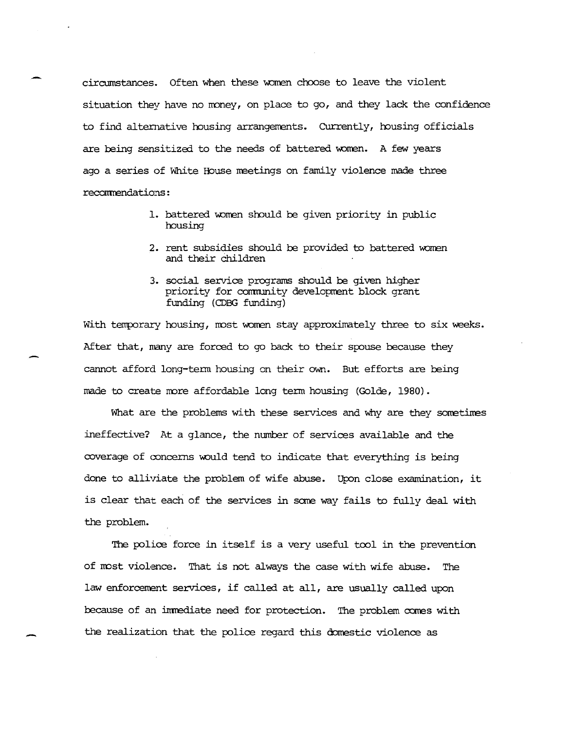circumstances. Often when these women choose to leave the violent situation they have no money, on place to go, and they lack the confidence to find alternative housing arrangements. Currently, housing officials are being sensitized to the needs of battered women. A few years ago a series of White House meetings on family violence made three recormendations:

- 1. battered women should be given priority in public housing
- 2. rent subsidies should be provided to battered women and their children
- 3. social service programs should be given higher priority for community development block grant funding (CDBG funding)

With temporary housing, most women stay approximately three to six weeks. After that, many are forced to go back to their spouse because they cannot afford long-term housing on their own. But efforts are being made to create more affordable long term housing (Golde, 1980).

What are the problems with these services and why are they sometimes ineffective? At a glance, the number of services available and the coverage of concerns would tend to indicate that everything is being done to alliviate the problem of wife abuse. Upon close examination, it is clear that each of the services in some way fails to fully deal with the problem.

The police force in itself is a very useful tool in the prevention of most violence. That is not always the case with wife abuse. The law enforcement services, if called at all, are usually called upon because of an immediate need for protection. The problem comes with the realization that the police regard this domestic violence as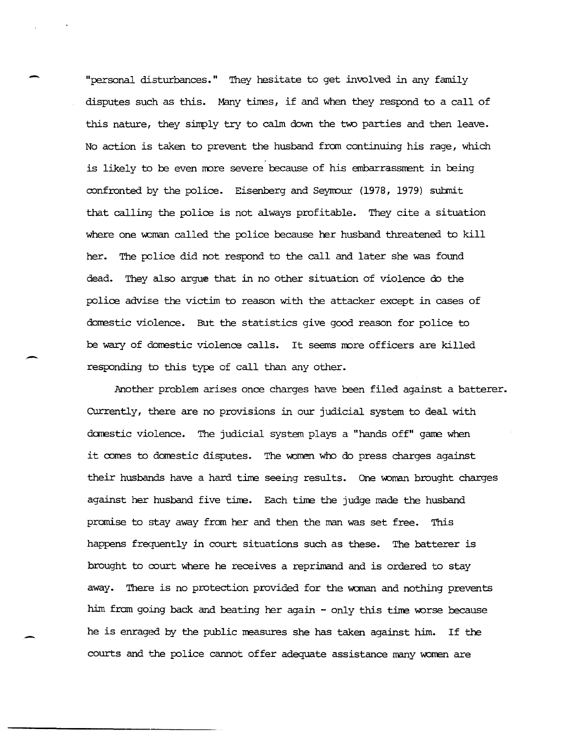"personal disturbances." They hesitate to get involved in any family disputes such as this. Many times, if and when they respond to a call of this nature, they simply try to calm down the two parties and then leave. No action is taken to prevent the husband fran continuing his rage, which is likely to be even more severe because of his embarrassment in being confronted by the police. Eisenberg and Seymour (1978, 1979) submit that calling the police is not always profitable. They cite a situation where one woman called the police because her husband threatened to kill her. The police did not respond to the call and later she was found dead. They also argue that in no other situation of violence do the police advise the victim to reason with the attacker except in cases of domestic violence. But the statistics give good reason for police to be wary of domestic violence calls. It seems more officers are killed responding to this type of call than any other.

-

 $\overline{\phantom{0}}$ 

Another problem arises once charges have been filed against a batterer. CUrrently, there are no provisions in our judicial system to deal with darestic violence. The judicial system plays a "hands off" gane when it comes to domestic disputes. The women who do press charges against their husbands have a hard time seeing results. One woman brought charges against her husband five time. Each time the judge made the husband promise to stay away from her and then the man was set free. This happens frequently in court situations such as these. The batterer is brought to court where he receives a reprimand and is ordered to stay away. There is no protection provided for the woman and nothing prevents him from going back and beating her again - only this time worse because he is enraged by the public measures she has taken against him. If the courts and the police cannot offer adequate assistance many women are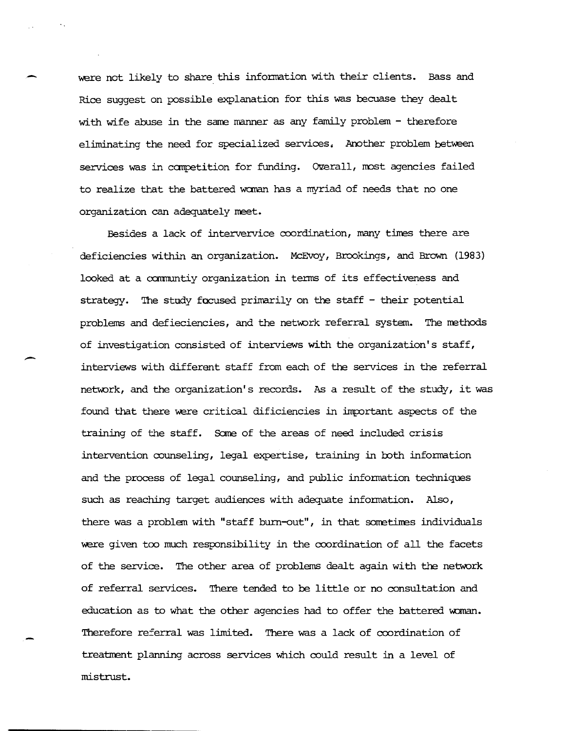were not likely to share this information with their clients. Bass and Rice suggest on possible explanation for this was becuase they dealt with wife abuse in the same manner as any family problem - therefore eliminating the need for specialized services. Another problem between services was in competition for funding. Overall, most agencies failed to realize that the battered woman has a myriad of needs that no one organization can adequately meet.

Besides a lack of intervervice coordination, many times there are deficiencies within an organization. McEvoy, Brookings, and Brown (1983) looked at a ccmnuntiyorganization in terms of its effectiveness and strategy. The study focused primarily on the staff - their potential problems and defieciencies, and the network referral system. The methods of investigat:ion consisted of interviews with the organization's staff, interviews with different staff from each of the services in the referral network, and the organization's records. As a result of the study, it was found that there were critical dificiencies in important aspects of the training of the staff. Sane of the areas of need included crisis intervention counseling, legal expertise, training in both information and the process of legal counseling, and public infonnation techniques such as reaching target audiences with adequate infonnation. Also, there was a problem with "staff burn-out", in that sometimes individuals were given too much responsibility in the coordination of all the facets of the service. The other area of problems dealt again with the network of referral services. There tended to be little or no consultation and education as to what the other agencies had to offer the battered woman. Therefore referral was limited. There was a lack of coordination of treatment planning across services which could result in a level of mistrust.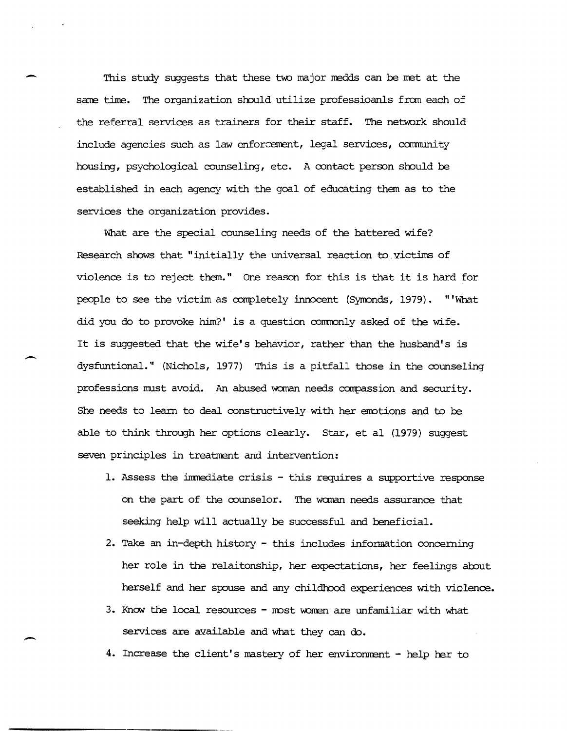This study suggests that these two major medds can be met at the same time. The organization should utilize professioanls from each of the referral services as trainers for their staff. The network should include agencies such as law enforcement, legal services, community housing, psychological counseling, etc. A contact person should be established in each agency with the goal of educating them as to the services the organization provides.

-

 $\overline{\phantom{0}}$ 

-

What are the special counseling needs of the battered wife? Research shows that "initially the universal reaction to. victims of violence is to reject them." One reason for this is that it is hard for people to see the victim as completely innocent (Symonds, 1979). "'What did you do to provoke him?' is a question comronly asked of the wife. It is suggested that the wife's behavior, rather than the husband's is dysfuntional." (Nichols, 1977) This is a pitfall those in the counseling professions mlst avoid. An abused woman needs compassion and security. She needs to learn to deal constructively with her emotions and to be able to think through her options clearly. Star, et al (1979) suggest seven principles in treatment and intervention:

- 1. Assess the inmediate crisis this requires a supportive response on the part of the counselor. The wanan needs assurance that seeking help will actually be successful and beneficial.
- 2. Take an in-depth history this includes information concerning her role in the relaitonship, her expectations, her feelings about herself and her spouse and any childhood experiences with violence.
- 3. Know the local resources most women are unfamiliar with what services are available and what they can do.
- 4. Increase the client's mastery of her envirorment help her to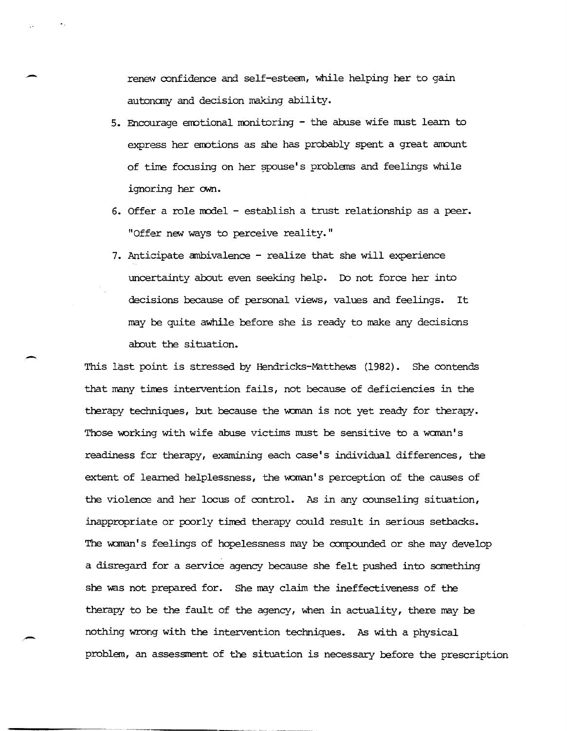renew confidence and self-esteem, while helping her to gain autonany and decision making ability.

-

-

-

- 5. Encourage emotional monitoring the abuse wife must learn to express her emotions as she has probably spent a great amount of time focusing on her spouse's problems and feelings while ignoring her own.
- 6. Offer a role model establish a trust relationship as a peer. "Offer new ways to perceive reality."
- 7. Anticipate ambivalence realize that she will experience uncertainty about even seeking help. Ib not force her into decisions because of personal views, values and feelings. It may be quite awhile before she is ready to make any decisions about the situation.

This last point is stressed by Hendricks-Matthews (1982). She contends that many times intervention fails, not because of deficiencies in the therapy techniques, but because the woman is not yet ready for therapy. Those working with wife abuse victims must be sensitive to a woman's readiness for therapy, examining each case's individual differences, the extent of learned helplessness, the woman's perception of the causes of the violence and her locus of control. As in any counseling situation, inappropriate or poorly timed therapy could result in serious setbacks. The woman's feelings of hopelessness may be compounded or she may develop a disregard for a service agency because she felt pushed into something she was not prepared for. She may claim the ineffectiveness of the therapy to be the fault of the agency, when in actuality, there may be nothing wrong with the intervention techniques. As with a physical problem, an assessment of the situation is necessary before the prescription

------.---~-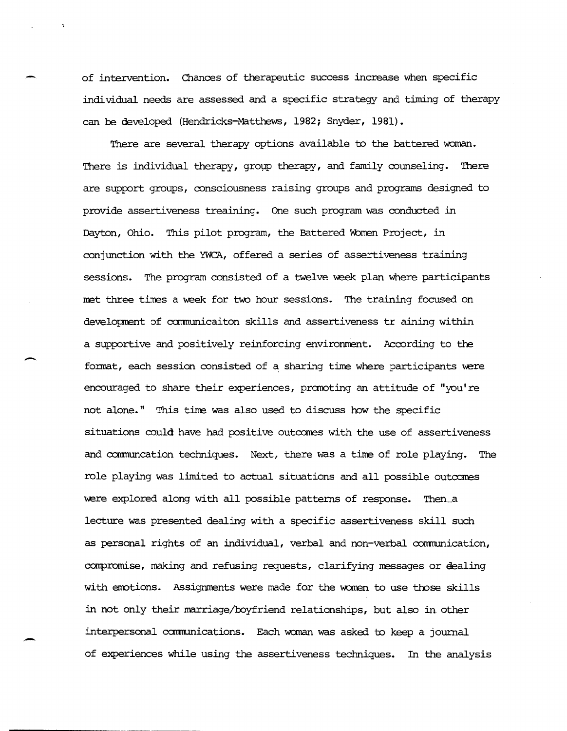of intervention. Chances of therapeutic success increase when specific individual needs are assessed and a specific strategy and timing of therapy can be developed (Hendricks-Matthews, 1982; Snyder, 1981).

There are several therapy options available to the battered woman. There is individual therapy, group therapy, and family counseling. There are support groups, consciousness raising groups and programs designed to provide assertiveness treaining. One such program was conducted in Dayton, Ohio. This pilot program, the Battered Women Project, in conjunction with the YWCA, offered a series of assertiveness training sessions. The program consisted of a twelve week plan where participants met three times a week for two hour sessions. The training focused on developrent of ccmnunicaiton skills and assertiveness tr aining within a supportive and positively reinforcing environment. According to the format, each session consisted of a sharing time where participants were encouraged to share their experiences, promoting an attitude of "you're not alone." This time was also used to discuss how the specific situations could have had positive outcomes with the use of assertiveness and communcation techniques. Next, there was a time of role playing. The role playing was limited to actual situations and all possible outcarnes were explored along with all possible patterns of response. Then a lecture was presented dealing with a specific assertiveness skill such as personal rights of an individual, verbal and non-verbal communication, compromise, making and refusing requests, clarifying messages or dealing with emotions. Assignments were made for the women to use those skills in not only their marriage/boyfriend relationships, but also in, other interpersonal camunications. Each wanan was asked to keep a journal of experiences while using the assertiveness techniques. In the analysis

-

--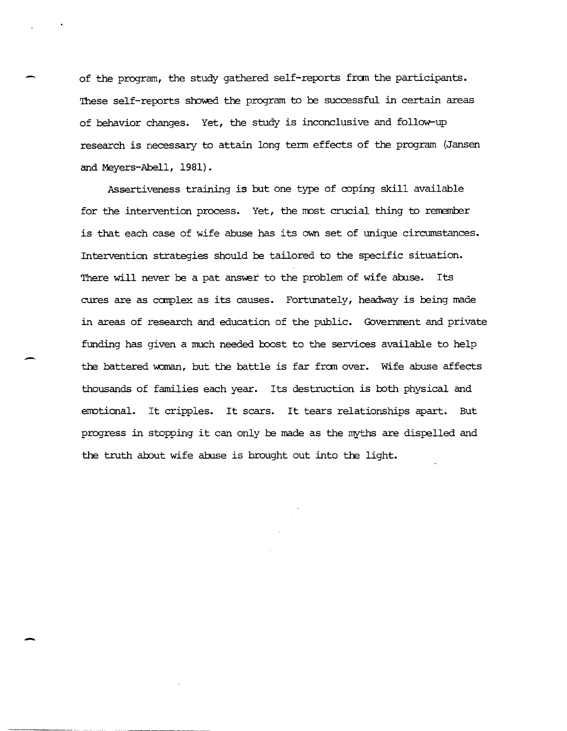of the program, the study gathered self-reports from the participants. These self-reports showed the program to be successful in certain areas of behavior changes. Yet, the study is inconclusive and follow-up research is necessary to attain long term effects of the program (Jansen and Meyers-Abell, 1981).

Assertiveness training is but one type of coping skill available for the intervention process. Yet, the most crucial thing to remember is that each case of wife abuse has its own set of unique circumstances. Intervention strategies should be tailored to the specific situation. There will never be a pat answer to the problem of wife abuse. Its cures are as complex as its causes. Fortunately, headway is being made in areas of research and education of the public. Government and private funding has given a much needed boost to the services available to help the battered woman, but the battle is far from over. Wife abuse affects thousands of families each year. Its destruction is both physical and emotional. It cripples. It scars. It tears relationships apart. But progress in stopping it can only be made as the myths are dispelled and the truth about wife abuse is brought out into the light.

-

-

.,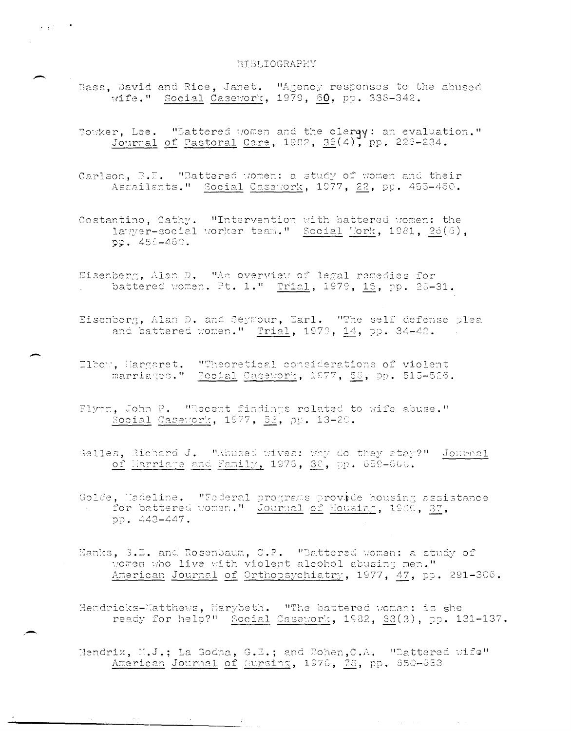## BIBLIOGRAPHY

"

-.

-

,,-

- Bass, David and Rice, Janet. "Agency responses to the abused wife." Social Casework, 1979,  $60$ , pp. 338-342.
- Bowker, Lee. "Battered women and the clerqy: an evaluation." Journal of Pastoral Care,  $1982$ ,  $36(4)$ , pp. 226-234.
- Carlson, B.F. "Battered women: a study of women and their Assailants." Social Casework, 1977, 22, pp. 455-460.
- Costantino, Cathy. "Intervention with battered women: the 1.::;:':r2r-'cs::Jcic.l ':or:'2r t2ZLi." f,::Jci2.1 ','or::, 10:31, ,2'(.~((J) pp. 456-460.
- Eisenberg, Alan D. HAn overview of legal remedies for battered women. Pt. 1." Trial, 1979, 15, pp. 28-31.
- odr, 2011.<br><u>Trial</u>, 1973, <u>14</u>, pp.
- Elbow, Hargaret. "Theoretical considerations of violent marriages." Focial Casework, 1977, 58, pp. 515-526.
- Flynn, John P. Wecent findings related to wife abuse."  $\texttt{Social}$  Casework, 1977, 53, pr
- ao t<br>9<mark>p.</mark> Gelles, Richard J. "Abused wives: why do they stay?" Journal
- Golde, Hadeline. "Federal programs provide housing assistance for battered women." Journal of Housing, 1980, 37, pp. 443-447.
- Hanks, 3.E. and Rosenbaum, C.P. "Battered women: a study of women who live with violent alcohol abusing men." American Journal of Orthopsychiatry, 1977, 47, pp. 291-306.
- Hendricks-Matthews, Marybeth. "The battered woman: is she ready for help?" Social Casework,  $1982$ ,  $53(3)$ , pp.  $131-137$ .
- Hendrix, M.J.; La Godna, G.E.; and Bohen, C.A.  $"$  "Dattered ix, M.J.; La Godna, G.E.; and Bohen,C.A.<br><u>American Journal of Hursing</u>, 1978, <u>78</u>, pp.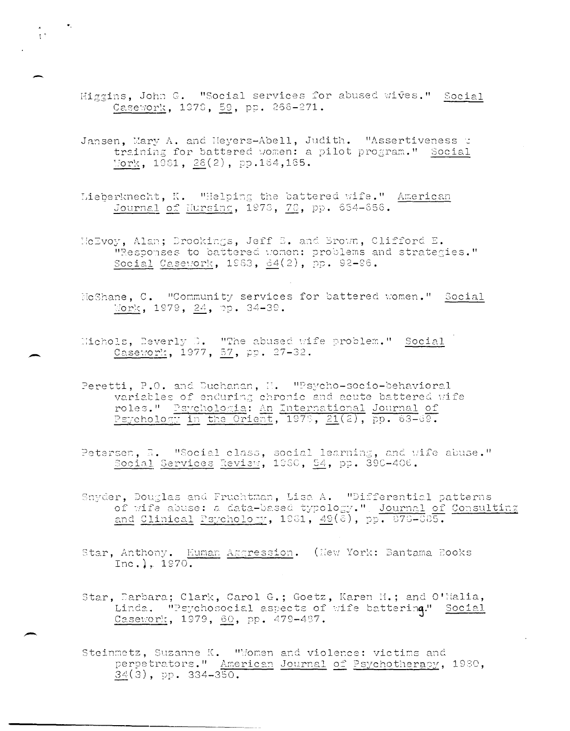Higgins, John G. "Social services for abused wives." Social Casework, 1978, 59, pp. 266-271.

..

-

 $\pm$   $\pm$ 

-

--

- Jansen, Mary A. and Meyers-Abell, Judith. "Assertiveness fraining for battered women: a pilot program." Social  $\frac{10 \text{rk}}{26(2)}, \frac{26(2)}{25}.$
- Lieberknecht, K. "Helping the battered wife." American Journal of Hursing, 1973, 78, pp. 654-656.
- HeEvoy, Alan; Brookings, Jeff B. and Brown, Clifford E. "Responses to battered women: problems and strategies." Social Casework, 1983,  $\underline{64}(2)$ , pp. 92-96.
- No Shane, C. Woommunity services for battered women." Social  $\frac{100 \text{ m/s}}{2}$ , 1979,  $\frac{24}{2}$ , pp. 34-39.
- Nichols, Beverly D. WThe abused wife problem." Social Casework, 1977, 57, pp. 27-32.
- Peretti, P.O. and Duchanan, H. "Psycho-socio-behavioral variables of enduring chronic and acute battered wife roles." Psychologia: An International Journal of  $r_{\text{sychology}}$  in the Orient, 1978, 21(2), pp. 63-69.
- Petersen, R. *"Social class, social learning, and wife abuse."*  $~\frac{1.5}{1.5}$  Services  $~\frac{5.5}{1.5}$ . 1960,  $~\frac{5.4}{1.5}$ , pp. 390-406.
- "Snyder, Douglas and Fruchtman, Lisa A. "Differential patterns of wife abuse: a data-based typology." Journal of Consulting and Clinical Psychology, 1981,  $49(\tilde{c})$ , pp. 876-085.
- Star, Anthony. Euman Aggression. (New York: Bantama Books  $Inc.$ ). 1970.
- Star, Earbara; Clark, Carol G.; Goetz, Karen H.; and O'Nalia, Linda. "Psychosocial aspects of wife battering." Social Casework, 1979, 60, pp. 479-487.
- Steinmetz, Suzanne K. "Women and violence: victims and perpetrators." American Journal of Psychotherapy, 1980,  $34(3)$ , pp.  $334-350$ .